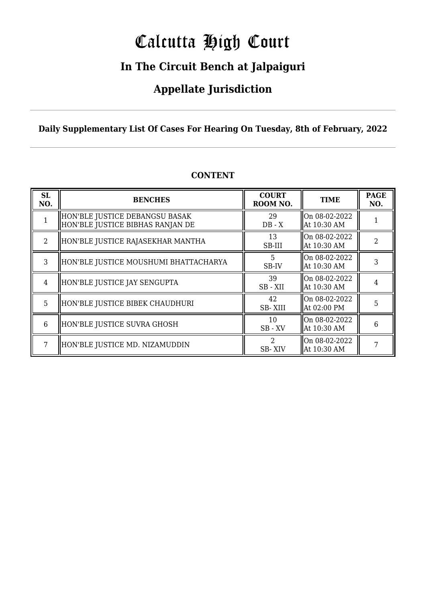# Calcutta High Court

### **In The Circuit Bench at Jalpaiguri**

### **Appellate Jurisdiction**

#### **Daily Supplementary List Of Cases For Hearing On Tuesday, 8th of February, 2022**

| SL<br>NO.     | <b>BENCHES</b>                                                     | <b>COURT</b><br>ROOM NO.              | <b>TIME</b>                  | <b>PAGE</b><br>NO. |
|---------------|--------------------------------------------------------------------|---------------------------------------|------------------------------|--------------------|
|               | HON'BLE JUSTICE DEBANGSU BASAK<br>HON'BLE JUSTICE BIBHAS RANJAN DE | 29<br>$DB - X$                        | On 08-02-2022<br>At 10:30 AM |                    |
| $\mathcal{L}$ | HON'BLE JUSTICE RAJASEKHAR MANTHA                                  | 13<br>SB-III                          | On 08-02-2022<br>At 10:30 AM | 2                  |
| $\mathcal{S}$ | HON'BLE JUSTICE MOUSHUMI BHATTACHARYA                              | 5<br>SB-IV                            | On 08-02-2022<br>At 10:30 AM |                    |
| 4             | HON'BLE JUSTICE JAY SENGUPTA                                       | 39<br>SB-XII                          | On 08-02-2022<br>At 10:30 AM |                    |
| 5             | HON'BLE JUSTICE BIBEK CHAUDHURI                                    | 42<br><b>SB-XIII</b>                  | On 08-02-2022<br>At 02:00 PM | 5                  |
| 6             | HON'BLE JUSTICE SUVRA GHOSH                                        | 10<br>$SB$ - $XV$                     | On 08-02-2022<br>At 10:30 AM | 6                  |
|               | HON'BLE JUSTICE MD. NIZAMUDDIN                                     | $\mathcal{D}_{\mathcal{L}}$<br>SB-XIV | On 08-02-2022<br>At 10:30 AM |                    |

#### **CONTENT**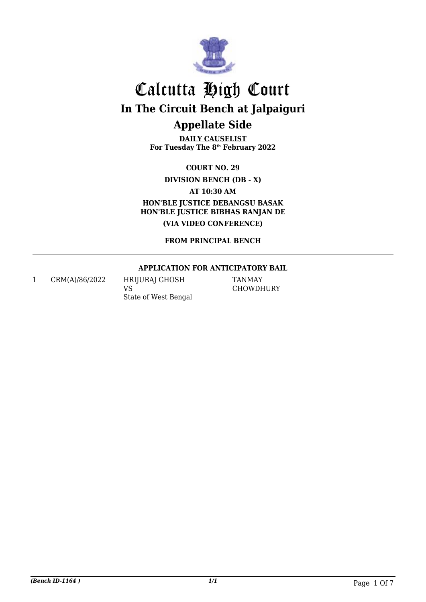

**DAILY CAUSELIST For Tuesday The 8th February 2022**

**COURT NO. 29**

**DIVISION BENCH (DB - X)**

**AT 10:30 AM**

**HON'BLE JUSTICE DEBANGSU BASAK HON'BLE JUSTICE BIBHAS RANJAN DE (VIA VIDEO CONFERENCE)**

**FROM PRINCIPAL BENCH**

#### **APPLICATION FOR ANTICIPATORY BAIL**

1 CRM(A)/86/2022 HRIJURAJ GHOSH

VS State of West Bengal

TANMAY CHOWDHURY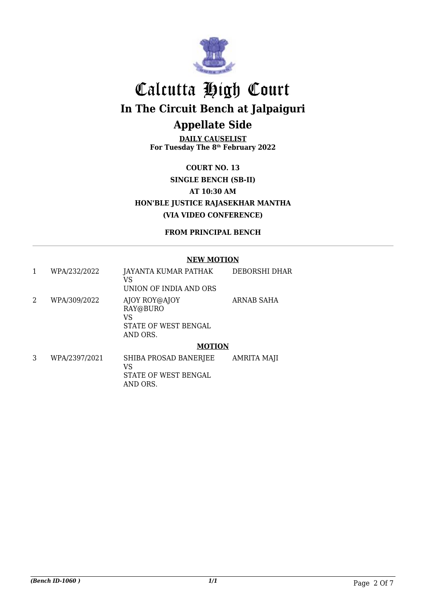

**DAILY CAUSELIST For Tuesday The 8th February 2022**

**COURT NO. 13 SINGLE BENCH (SB-II) AT 10:30 AM HON'BLE JUSTICE RAJASEKHAR MANTHA (VIA VIDEO CONFERENCE)**

#### **FROM PRINCIPAL BENCH**

#### **NEW MOTION**

| 1 | WPA/232/2022  | JAYANTA KUMAR PATHAK<br>VS<br>UNION OF INDIA AND ORS                | DEBORSHI DHAR      |
|---|---------------|---------------------------------------------------------------------|--------------------|
| 2 | WPA/309/2022  | AJOY ROY@AJOY<br>RAY@BURO<br>VS<br>STATE OF WEST BENGAL<br>AND ORS. | ARNAB SAHA         |
|   |               | <b>MOTION</b>                                                       |                    |
| 3 | WPA/2397/2021 | SHIBA PROSAD BANERJEE<br>VS                                         | <b>AMRITA MAJI</b> |

STATE OF WEST BENGAL

AND ORS.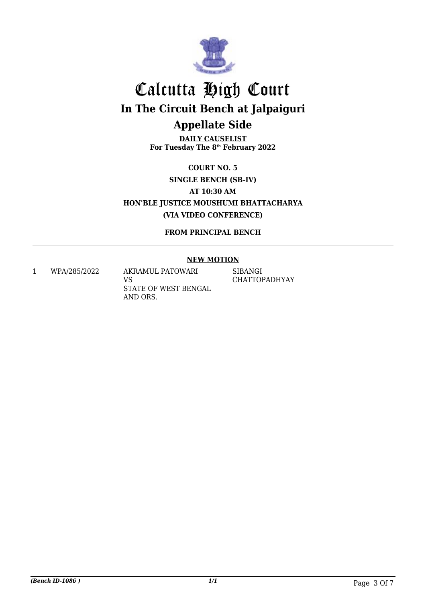

**DAILY CAUSELIST For Tuesday The 8th February 2022**

**COURT NO. 5 SINGLE BENCH (SB-IV) AT 10:30 AM HON'BLE JUSTICE MOUSHUMI BHATTACHARYA (VIA VIDEO CONFERENCE)**

**FROM PRINCIPAL BENCH**

#### **NEW MOTION**

1 WPA/285/2022 AKRAMUL PATOWARI

VS STATE OF WEST BENGAL AND ORS.

SIBANGI CHATTOPADHYAY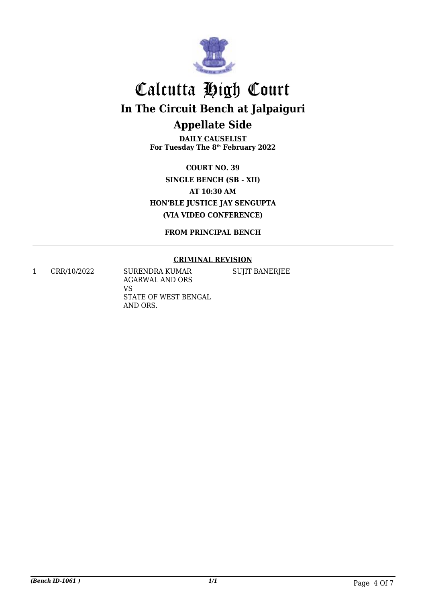

**DAILY CAUSELIST For Tuesday The 8th February 2022**

**COURT NO. 39 SINGLE BENCH (SB - XII) AT 10:30 AM HON'BLE JUSTICE JAY SENGUPTA (VIA VIDEO CONFERENCE)**

**FROM PRINCIPAL BENCH**

#### **CRIMINAL REVISION**

1 CRR/10/2022 SURENDRA KUMAR AGARWAL AND ORS VS STATE OF WEST BENGAL AND ORS.

SUJIT BANERJEE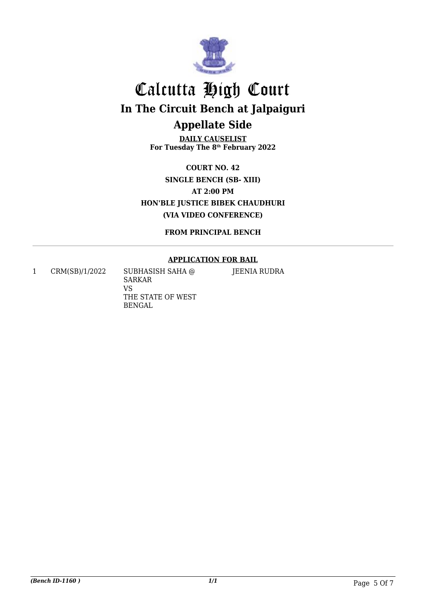

**DAILY CAUSELIST For Tuesday The 8th February 2022**

**COURT NO. 42 SINGLE BENCH (SB- XIII) AT 2:00 PM HON'BLE JUSTICE BIBEK CHAUDHURI (VIA VIDEO CONFERENCE)**

**FROM PRINCIPAL BENCH**

#### **APPLICATION FOR BAIL**

1 CRM(SB)/1/2022 SUBHASISH SAHA @

SARKAR VS THE STATE OF WEST BENGAL

JEENIA RUDRA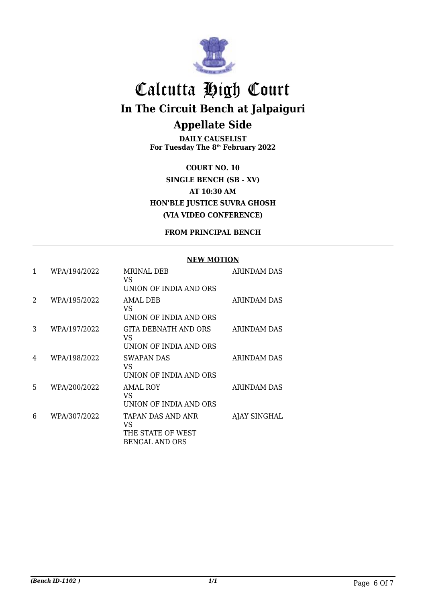

**DAILY CAUSELIST For Tuesday The 8th February 2022**

**COURT NO. 10 SINGLE BENCH (SB - XV) AT 10:30 AM HON'BLE JUSTICE SUVRA GHOSH (VIA VIDEO CONFERENCE)**

#### **FROM PRINCIPAL BENCH**

#### **NEW MOTION**

| 1                           | WPA/194/2022 | MRINAL DEB<br>VS.<br>UNION OF INDIA AND ORS                    | <b>ARINDAM DAS</b> |
|-----------------------------|--------------|----------------------------------------------------------------|--------------------|
| $\mathcal{D}_{\mathcal{L}}$ | WPA/195/2022 | AMAL DEB<br>VS.<br>UNION OF INDIA AND ORS                      | ARINDAM DAS        |
| 3                           | WPA/197/2022 | GITA DEBNATH AND ORS<br>VS<br>UNION OF INDIA AND ORS           | ARINDAM DAS        |
| 4                           | WPA/198/2022 | <b>SWAPAN DAS</b><br>VS<br>UNION OF INDIA AND ORS              | ARINDAM DAS        |
| 5.                          | WPA/200/2022 | <b>AMAL ROY</b><br>VS<br>UNION OF INDIA AND ORS                | ARINDAM DAS        |
| 6                           | WPA/307/2022 | TAPAN DAS AND ANR<br>VS<br>THE STATE OF WEST<br>BENGAL AND ORS | AJAY SINGHAL       |